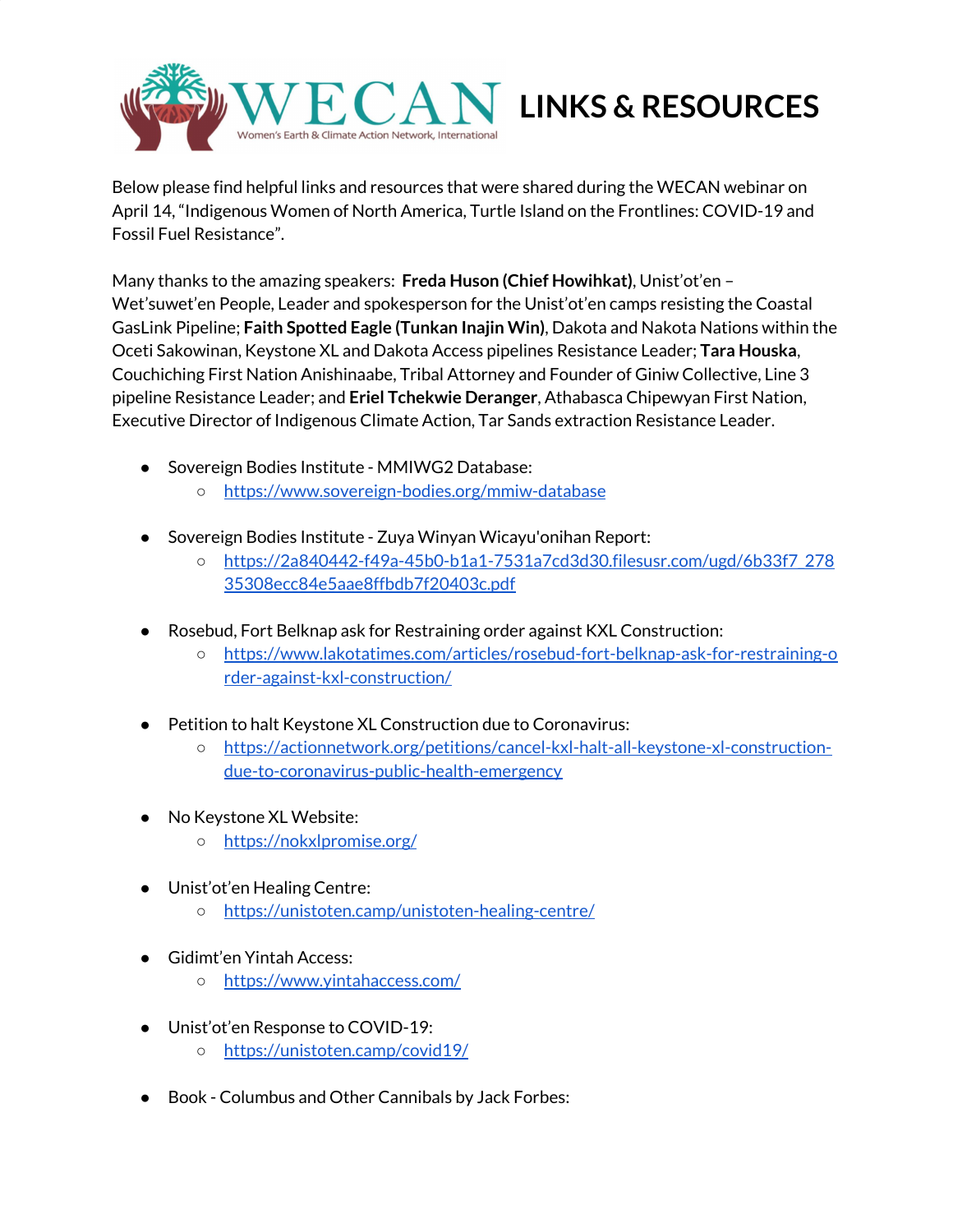

Below please find helpful links and resources that were shared during the WECAN webinar on April 14, "Indigenous Women of North America, Turtle Island on the Frontlines: COVID-19 and Fossil Fuel Resistance".

Many thanks to the amazing speakers: **Freda Huson (Chief Howihkat)**, Unist'ot'en – Wet'suwet'en People, Leader and spokesperson for the Unist'ot'en camps resisting the Coastal GasLink Pipeline; **Faith Spotted Eagle (Tunkan Inajin Win)**, Dakota and Nakota Nations within the Oceti Sakowinan, Keystone XL and Dakota Access pipelines Resistance Leader; **Tara Houska**, Couchiching First Nation Anishinaabe, Tribal Attorney and Founder of Giniw Collective, Line 3 pipeline Resistance Leader; and **Eriel Tchekwie Deranger**, Athabasca Chipewyan First Nation, Executive Director of Indigenous Climate Action, Tar Sands extraction Resistance Leader.

- Sovereign Bodies Institute MMIWG2 Database:
	- <https://www.sovereign-bodies.org/mmiw-database>
- Sovereign Bodies Institute Zuya Winyan Wicayu'onihan Report:
	- [https://2a840442-f49a-45b0-b1a1-7531a7cd3d30.filesusr.com/ugd/6b33f7\\_278](https://2a840442-f49a-45b0-b1a1-7531a7cd3d30.filesusr.com/ugd/6b33f7_27835308ecc84e5aae8ffbdb7f20403c.pdf) [35308ecc84e5aae8ffbdb7f20403c.pdf](https://2a840442-f49a-45b0-b1a1-7531a7cd3d30.filesusr.com/ugd/6b33f7_27835308ecc84e5aae8ffbdb7f20403c.pdf)
- Rosebud, Fort Belknap ask for Restraining order against KXL Construction:
	- [https://www.lakotatimes.com/articles/rosebud-fort-belknap-ask-for-restraining-o](https://www.lakotatimes.com/articles/rosebud-fort-belknap-ask-for-restraining-order-against-kxl-construction/) [rder-against-kxl-construction/](https://www.lakotatimes.com/articles/rosebud-fort-belknap-ask-for-restraining-order-against-kxl-construction/)
- Petition to halt Keystone XL Construction due to Coronavirus:
	- [https://actionnetwork.org/petitions/cancel-kxl-halt-all-keystone-xl-construction](https://actionnetwork.org/petitions/cancel-kxl-halt-all-keystone-xl-construction-due-to-coronavirus-public-health-emergency)[due-to-coronavirus-public-health-emergency](https://actionnetwork.org/petitions/cancel-kxl-halt-all-keystone-xl-construction-due-to-coronavirus-public-health-emergency)
- No Keystone XL Website:
	- <https://nokxlpromise.org/>
- Unist'ot'en Healing Centre:
	- <https://unistoten.camp/unistoten-healing-centre/>
- Gidimt'en Yintah Access:
	- <https://www.yintahaccess.com/>
- Unist'ot'en Response to COVID-19:
	- <https://unistoten.camp/covid19/>
- Book Columbus and Other Cannibals by Jack Forbes: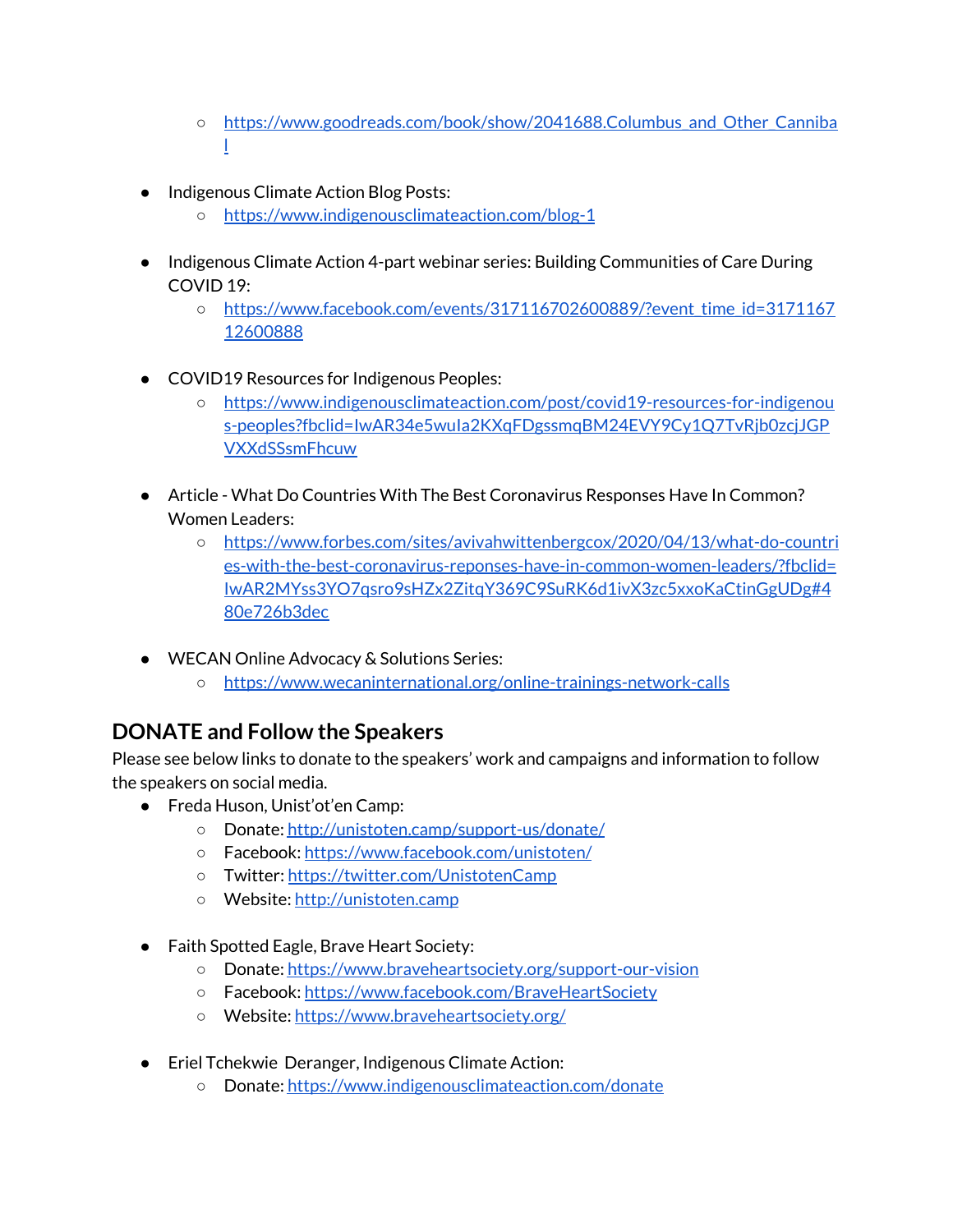- https://www.goodreads.com/book/show/2041688.Columbus and Other Canniba [l](https://www.goodreads.com/book/show/2041688.Columbus_and_Other_Cannibals)
- Indigenous Climate Action Blog Posts:
	- <https://www.indigenousclimateaction.com/blog-1>
- Indigenous Climate Action 4-part webinar series: Building Communities of Care During COVID 19:
	- [https://www.facebook.com/events/317116702600889/?event\\_time\\_id=3171167](https://www.facebook.com/events/317116702600889/?event_time_id=317116712600888) [12600888](https://www.facebook.com/events/317116702600889/?event_time_id=317116712600888)
- COVID19 Resources for Indigenous Peoples:
	- [https://www.indigenousclimateaction.com/post/covid19-resources-for-indigenou](https://www.indigenousclimateaction.com/post/covid19-resources-for-indigenous-peoples?fbclid=IwAR34e5wuIa2KXqFDgssmqBM24EVY9Cy1Q7TvRjb0zcjJGPVXXdSSsmFhcuw) [s-peoples?fbclid=IwAR34e5wuIa2KXqFDgssmqBM24EVY9Cy1Q7TvRjb0zcjJGP](https://www.indigenousclimateaction.com/post/covid19-resources-for-indigenous-peoples?fbclid=IwAR34e5wuIa2KXqFDgssmqBM24EVY9Cy1Q7TvRjb0zcjJGPVXXdSSsmFhcuw) [VXXdSSsmFhcuw](https://www.indigenousclimateaction.com/post/covid19-resources-for-indigenous-peoples?fbclid=IwAR34e5wuIa2KXqFDgssmqBM24EVY9Cy1Q7TvRjb0zcjJGPVXXdSSsmFhcuw)
- Article What Do Countries With The Best Coronavirus Responses Have In Common? Women Leaders:
	- [https://www.forbes.com/sites/avivahwittenbergcox/2020/04/13/what-do-countri](https://www.forbes.com/sites/avivahwittenbergcox/2020/04/13/what-do-countries-with-the-best-coronavirus-reponses-have-in-common-women-leaders/?fbclid=IwAR2MYss3YO7qsro9sHZx2ZitqY369C9SuRK6d1ivX3zc5xxoKaCtinGgUDg#480e726b3dec) [es-with-the-best-coronavirus-reponses-have-in-common-women-leaders/?fbclid=](https://www.forbes.com/sites/avivahwittenbergcox/2020/04/13/what-do-countries-with-the-best-coronavirus-reponses-have-in-common-women-leaders/?fbclid=IwAR2MYss3YO7qsro9sHZx2ZitqY369C9SuRK6d1ivX3zc5xxoKaCtinGgUDg#480e726b3dec) [IwAR2MYss3YO7qsro9sHZx2ZitqY369C9SuRK6d1ivX3zc5xxoKaCtinGgUDg#4](https://www.forbes.com/sites/avivahwittenbergcox/2020/04/13/what-do-countries-with-the-best-coronavirus-reponses-have-in-common-women-leaders/?fbclid=IwAR2MYss3YO7qsro9sHZx2ZitqY369C9SuRK6d1ivX3zc5xxoKaCtinGgUDg#480e726b3dec) [80e726b3dec](https://www.forbes.com/sites/avivahwittenbergcox/2020/04/13/what-do-countries-with-the-best-coronavirus-reponses-have-in-common-women-leaders/?fbclid=IwAR2MYss3YO7qsro9sHZx2ZitqY369C9SuRK6d1ivX3zc5xxoKaCtinGgUDg#480e726b3dec)
- WECAN Online Advocacy & Solutions Series:
	- <https://www.wecaninternational.org/online-trainings-network-calls>

# **DONATE and Follow the Speakers**

Please see below links to donate to the speakers' work and campaigns and information to follow the speakers on social media.

- Freda Huson, Unist'ot'en Camp:
	- Donate: <http://unistoten.camp/support-us/donate/>
	- Facebook: <https://www.facebook.com/unistoten/>
	- Twitter: <https://twitter.com/UnistotenCamp>
	- Website: [http://unistoten.camp](http://unistoten.camp/)
- Faith Spotted Eagle, Brave Heart Society:
	- Donate: <https://www.braveheartsociety.org/support-our-vision>
	- Facebook: <https://www.facebook.com/BraveHeartSociety>
	- Website: <https://www.braveheartsociety.org/>
- Eriel Tchekwie Deranger, Indigenous Climate Action:
	- Donate: <https://www.indigenousclimateaction.com/donate>